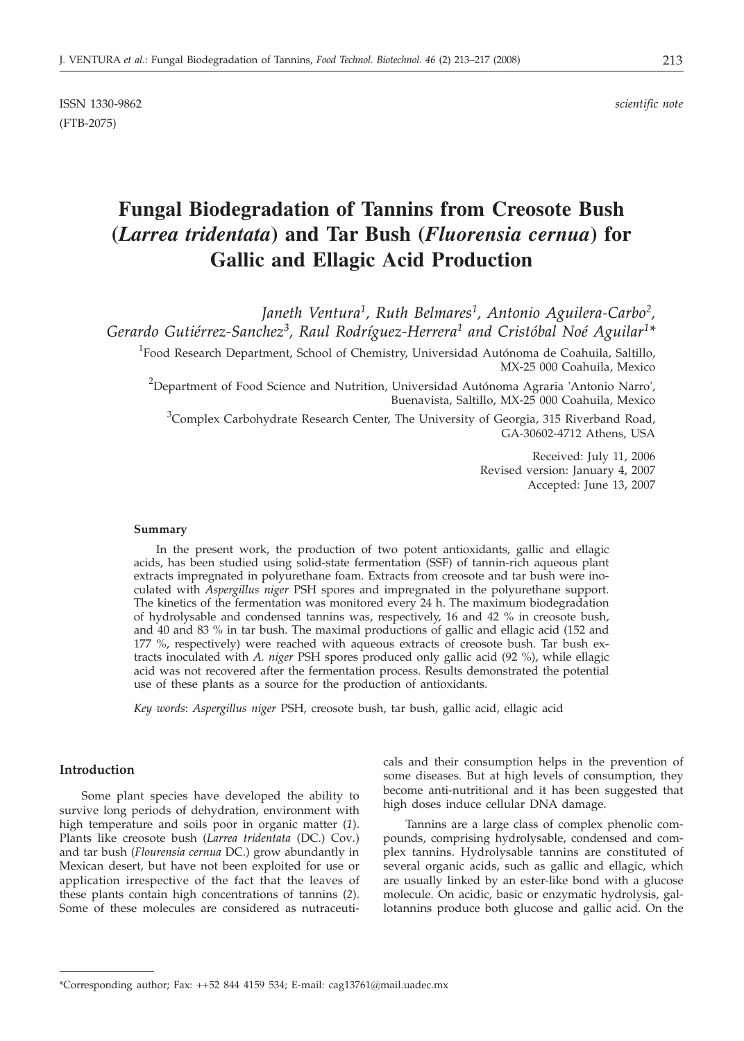ISSN 1330-9862 *scientific note* (FTB-2075)

# **Fungal Biodegradation of Tannins from Creosote Bush (***Larrea tridentata***) and Tar Bush (***Fluorensia cernua***) for Gallic and Ellagic Acid Production**

*Janeth Ventura1, Ruth Belmares1, Antonio Aguilera-Carbo2, Gerardo Gutiérrez-Sanchez3, Raul Rodríguez-Herrera1 and Cristóbal Noé Aguilar1\**

 ${}^{1}$ Food Research Department, School of Chemistry, Universidad Autónoma de Coahuila, Saltillo, MX-25 000 Coahuila, Mexico

 $^{2}$ Department of Food Science and Nutrition, Universidad Autónoma Agraria 'Antonio Narro', Buenavista, Saltillo, MX-25 000 Coahuila, Mexico

<sup>3</sup>Complex Carbohydrate Research Center, The University of Georgia, 315 Riverband Road, GA-30602-4712 Athens, USA

> Received: July 11, 2006 Revised version: January 4, 2007 Accepted: June 13, 2007

#### **Summary**

In the present work, the production of two potent antioxidants, gallic and ellagic acids, has been studied using solid-state fermentation (SSF) of tannin-rich aqueous plant extracts impregnated in polyurethane foam. Extracts from creosote and tar bush were inoculated with *Aspergillus niger* PSH spores and impregnated in the polyurethane support. The kinetics of the fermentation was monitored every 24 h. The maximum biodegradation of hydrolysable and condensed tannins was, respectively, 16 and 42 % in creosote bush, and 40 and 83 % in tar bush. The maximal productions of gallic and ellagic acid (152 and 177 %, respectively) were reached with aqueous extracts of creosote bush. Tar bush extracts inoculated with *A. niger* PSH spores produced only gallic acid (92 %), while ellagic acid was not recovered after the fermentation process. Results demonstrated the potential use of these plants as a source for the production of antioxidants.

*Key words*: *Aspergillus niger* PSH, creosote bush, tar bush, gallic acid, ellagic acid

#### **Introduction**

Some plant species have developed the ability to survive long periods of dehydration, environment with high temperature and soils poor in organic matter (*1*). Plants like creosote bush (*Larrea tridentata* (DC.) Cov*.*) and tar bush (*Flourensia cernua* DC.) grow abundantly in Mexican desert, but have not been exploited for use or application irrespective of the fact that the leaves of these plants contain high concentrations of tannins (*2*). Some of these molecules are considered as nutraceuticals and their consumption helps in the prevention of some diseases. But at high levels of consumption, they become anti-nutritional and it has been suggested that high doses induce cellular DNA damage.

Tannins are a large class of complex phenolic compounds, comprising hydrolysable, condensed and complex tannins. Hydrolysable tannins are constituted of several organic acids, such as gallic and ellagic, which are usually linked by an ester-like bond with a glucose molecule. On acidic, basic or enzymatic hydrolysis, gallotannins produce both glucose and gallic acid. On the

<sup>\*</sup>Corresponding author; Fax: ++52 844 4159 534; E-mail: cag13761*@*mail.uadec.mx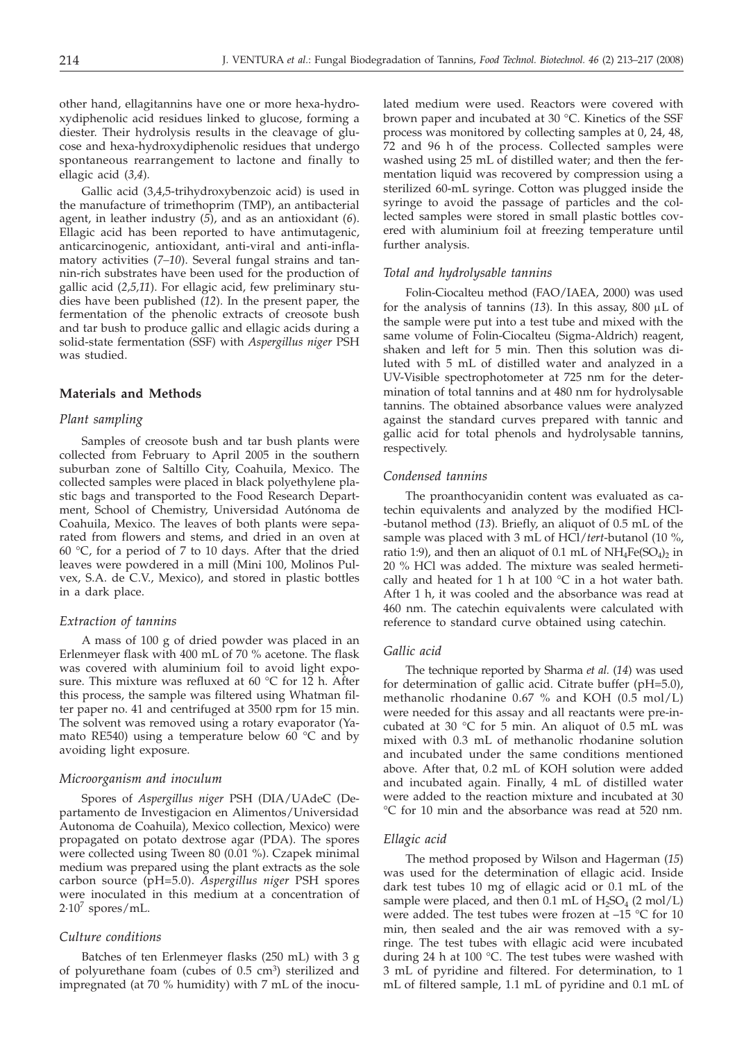other hand, ellagitannins have one or more hexa-hydroxydiphenolic acid residues linked to glucose, forming a diester. Their hydrolysis results in the cleavage of glucose and hexa-hydroxydiphenolic residues that undergo spontaneous rearrangement to lactone and finally to ellagic acid (*3,4*).

Gallic acid (3,4,5-trihydroxybenzoic acid) is used in the manufacture of trimethoprim (TMP), an antibacterial agent, in leather industry (*5*), and as an antioxidant (*6*). Ellagic acid has been reported to have antimutagenic, anticarcinogenic, antioxidant, anti-viral and anti-inflamatory activities (*7–10*). Several fungal strains and tannin-rich substrates have been used for the production of gallic acid (*2,5,11*). For ellagic acid, few preliminary studies have been published (*12*). In the present paper, the fermentation of the phenolic extracts of creosote bush and tar bush to produce gallic and ellagic acids during a solid-state fermentation (SSF) with *Aspergillus niger* PSH was studied.

## **Materials and Methods**

# *Plant sampling*

Samples of creosote bush and tar bush plants were collected from February to April 2005 in the southern suburban zone of Saltillo City, Coahuila, Mexico. The collected samples were placed in black polyethylene plastic bags and transported to the Food Research Department, School of Chemistry, Universidad Autónoma de Coahuila, Mexico. The leaves of both plants were separated from flowers and stems, and dried in an oven at 60 °C, for a period of 7 to 10 days. After that the dried leaves were powdered in a mill (Mini 100, Molinos Pulvex, S.A. de C.V., Mexico), and stored in plastic bottles in a dark place.

## *Extraction of tannins*

A mass of 100 g of dried powder was placed in an Erlenmeyer flask with 400 mL of 70 % acetone. The flask was covered with aluminium foil to avoid light exposure. This mixture was refluxed at 60 °C for 12 h. After this process, the sample was filtered using Whatman filter paper no. 41 and centrifuged at 3500 rpm for 15 min. The solvent was removed using a rotary evaporator (Yamato RE540) using a temperature below 60 $^{\circ}$ C and by avoiding light exposure.

#### *Microorganism and inoculum*

Spores of *Aspergillus niger* PSH (DIA/UAdeC (Departamento de Investigacion en Alimentos/Universidad Autonoma de Coahuila), Mexico collection, Mexico) were propagated on potato dextrose agar (PDA). The spores were collected using Tween 80 (0.01 %). Czapek minimal medium was prepared using the plant extracts as the sole carbon source (pH=5.0). *Aspergillus niger* PSH spores were inoculated in this medium at a concentration of  $2.10^7$  spores/mL.

#### *Culture conditions*

Batches of ten Erlenmeyer flasks (250 mL) with 3 g of polyurethane foam (cubes of  $0.5 \text{ cm}^3$ ) sterilized and impregnated (at 70 % humidity) with 7 mL of the inocu-

lated medium were used. Reactors were covered with brown paper and incubated at 30 °C. Kinetics of the SSF process was monitored by collecting samples at 0, 24, 48, 72 and 96 h of the process. Collected samples were washed using 25 mL of distilled water; and then the fermentation liquid was recovered by compression using a sterilized 60-mL syringe. Cotton was plugged inside the syringe to avoid the passage of particles and the collected samples were stored in small plastic bottles covered with aluminium foil at freezing temperature until further analysis.

#### *Total and hydrolysable tannins*

Folin-Ciocalteu method (FAO/IAEA, 2000) was used for the analysis of tannins  $(13)$ . In this assay,  $800 \mu L$  of the sample were put into a test tube and mixed with the same volume of Folin-Ciocalteu (Sigma-Aldrich) reagent, shaken and left for 5 min. Then this solution was diluted with 5 mL of distilled water and analyzed in a UV-Visible spectrophotometer at 725 nm for the determination of total tannins and at 480 nm for hydrolysable tannins. The obtained absorbance values were analyzed against the standard curves prepared with tannic and gallic acid for total phenols and hydrolysable tannins, respectively.

#### *Condensed tannins*

The proanthocyanidin content was evaluated as catechin equivalents and analyzed by the modified HCl- -butanol method (*13*). Briefly, an aliquot of 0.5 mL of the sample was placed with 3 mL of HCl/*tert*-butanol (10 %, ratio 1:9), and then an aliquot of 0.1 mL of  $NH_4Fe(SO_4)$  in 20 % HCl was added. The mixture was sealed hermetically and heated for 1 h at 100  $^{\circ}$ C in a hot water bath. After 1 h, it was cooled and the absorbance was read at 460 nm. The catechin equivalents were calculated with reference to standard curve obtained using catechin.

#### *Gallic acid*

The technique reported by Sharma *et al.* (*14*) was used for determination of gallic acid. Citrate buffer (pH=5.0), methanolic rhodanine 0.67 % and KOH  $(0.5 \text{ mol/L})$ were needed for this assay and all reactants were pre-incubated at 30 °C for 5 min. An aliquot of 0.5 mL was mixed with 0.3 mL of methanolic rhodanine solution and incubated under the same conditions mentioned above. After that, 0.2 mL of KOH solution were added and incubated again. Finally, 4 mL of distilled water were added to the reaction mixture and incubated at 30 °C for 10 min and the absorbance was read at 520 nm.

# *Ellagic acid*

The method proposed by Wilson and Hagerman (*15*) was used for the determination of ellagic acid. Inside dark test tubes 10 mg of ellagic acid or 0.1 mL of the sample were placed, and then  $0.1$  mL of  $H_2SO_4$  (2 mol/L) were added. The test tubes were frozen at -15 °C for 10 min, then sealed and the air was removed with a syringe. The test tubes with ellagic acid were incubated during 24 h at 100 °C. The test tubes were washed with 3 mL of pyridine and filtered. For determination, to 1 mL of filtered sample, 1.1 mL of pyridine and 0.1 mL of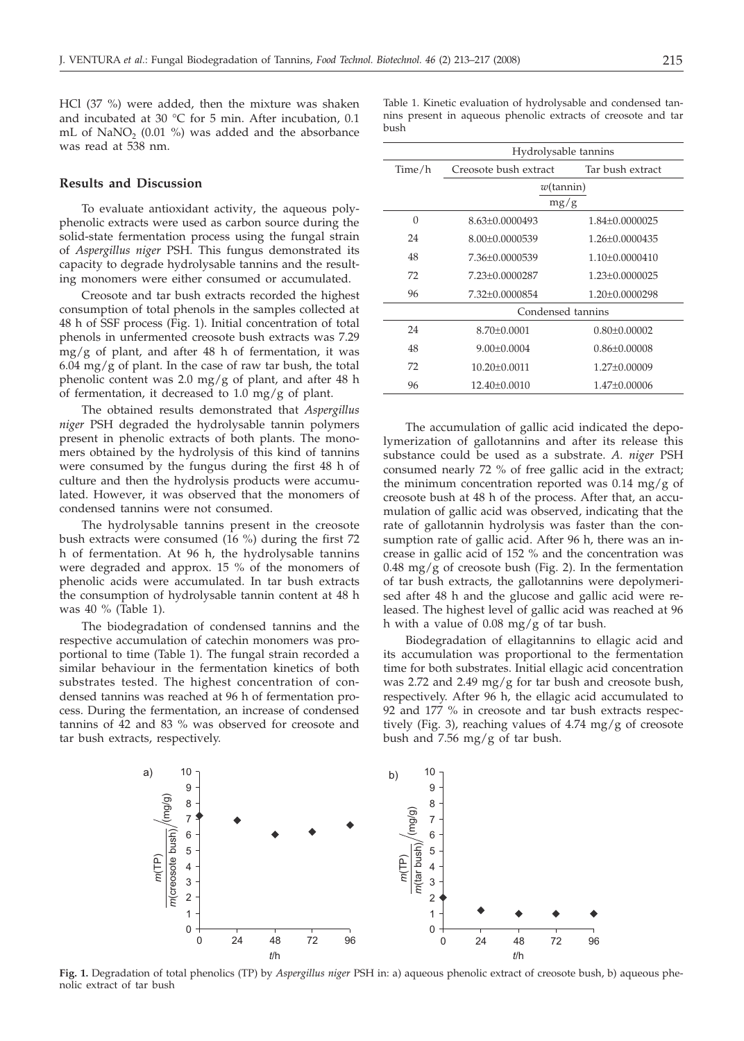HCl (37 %) were added, then the mixture was shaken and incubated at 30 °C for 5 min. After incubation, 0.1 mL of NaNO<sub>2</sub> (0.01 %) was added and the absorbance was read at 538 nm.

## **Results and Discussion**

To evaluate antioxidant activity, the aqueous polyphenolic extracts were used as carbon source during the solid-state fermentation process using the fungal strain of *Aspergillus niger* PSH. This fungus demonstrated its capacity to degrade hydrolysable tannins and the resulting monomers were either consumed or accumulated.

Creosote and tar bush extracts recorded the highest consumption of total phenols in the samples collected at 48 h of SSF process (Fig. 1). Initial concentration of total phenols in unfermented creosote bush extracts was 7.29 mg/g of plant, and after 48 h of fermentation, it was  $6.04 \text{ mg/g}$  of plant. In the case of raw tar bush, the total phenolic content was 2.0 mg/g of plant, and after 48 h of fermentation, it decreased to 1.0 mg/g of plant.

The obtained results demonstrated that *Aspergillus niger* PSH degraded the hydrolysable tannin polymers present in phenolic extracts of both plants. The monomers obtained by the hydrolysis of this kind of tannins were consumed by the fungus during the first 48 h of culture and then the hydrolysis products were accumulated. However, it was observed that the monomers of condensed tannins were not consumed.

The hydrolysable tannins present in the creosote bush extracts were consumed (16 %) during the first 72 h of fermentation. At 96 h, the hydrolysable tannins were degraded and approx. 15 % of the monomers of phenolic acids were accumulated. In tar bush extracts the consumption of hydrolysable tannin content at 48 h was 40 % (Table 1).

The biodegradation of condensed tannins and the respective accumulation of catechin monomers was proportional to time (Table 1). The fungal strain recorded a similar behaviour in the fermentation kinetics of both substrates tested. The highest concentration of condensed tannins was reached at 96 h of fermentation process. During the fermentation, an increase of condensed tannins of 42 and 83 % was observed for creosote and tar bush extracts, respectively.

Table 1. Kinetic evaluation of hydrolysable and condensed tannins present in aqueous phenolic extracts of creosote and tar bush

|          | Hydrolysable tannins  |                    |  |  |
|----------|-----------------------|--------------------|--|--|
| Time/h   | Creosote bush extract | Tar bush extract   |  |  |
|          | $w$ (tannin)          |                    |  |  |
|          | mg/g                  |                    |  |  |
| $\Omega$ | $8.63 + 0.0000493$    | 1.84±0.0000025     |  |  |
| 24       | 8.00+0.0000539        | $1.26 + 0.0000435$ |  |  |
| 48       | 7.36+0.0000539        | $1.10+0.0000410$   |  |  |
| 72       | 7.23±0.0000287        | 1.23±0.0000025     |  |  |
| 96       | 7.32+0.0000854        | $1.20+0.0000298$   |  |  |
|          | Condensed tannins     |                    |  |  |
| 24       | $8.70 + 0.0001$       | $0.80 \pm 0.00002$ |  |  |
| 48       | $9.00+0.0004$         | $0.86 \pm 0.00008$ |  |  |
| 72       | $10.20 + 0.0011$      | $1.27+0.00009$     |  |  |
| 96       | 12.40±0.0010          | 1.47±0.00006       |  |  |

The accumulation of gallic acid indicated the depolymerization of gallotannins and after its release this substance could be used as a substrate. *A. niger* PSH consumed nearly 72 % of free gallic acid in the extract; the minimum concentration reported was  $0.14 \text{ mg/g}$  of creosote bush at 48 h of the process. After that, an accumulation of gallic acid was observed, indicating that the rate of gallotannin hydrolysis was faster than the consumption rate of gallic acid. After 96 h, there was an increase in gallic acid of 152 % and the concentration was  $0.48 \text{ mg/g}$  of creosote bush (Fig. 2). In the fermentation of tar bush extracts, the gallotannins were depolymerised after 48 h and the glucose and gallic acid were released. The highest level of gallic acid was reached at 96 h with a value of 0.08 mg/g of tar bush.

Biodegradation of ellagitannins to ellagic acid and its accumulation was proportional to the fermentation time for both substrates. Initial ellagic acid concentration was 2.72 and 2.49 mg/g for tar bush and creosote bush, respectively. After 96 h, the ellagic acid accumulated to 92 and 177 % in creosote and tar bush extracts respectively (Fig. 3), reaching values of 4.74 mg/g of creosote bush and 7.56 mg/g of tar bush.



**Fig. 1.** Degradation of total phenolics (TP) by *Aspergillus niger* PSH in: a) aqueous phenolic extract of creosote bush, b) aqueous phenolic extract of tar bush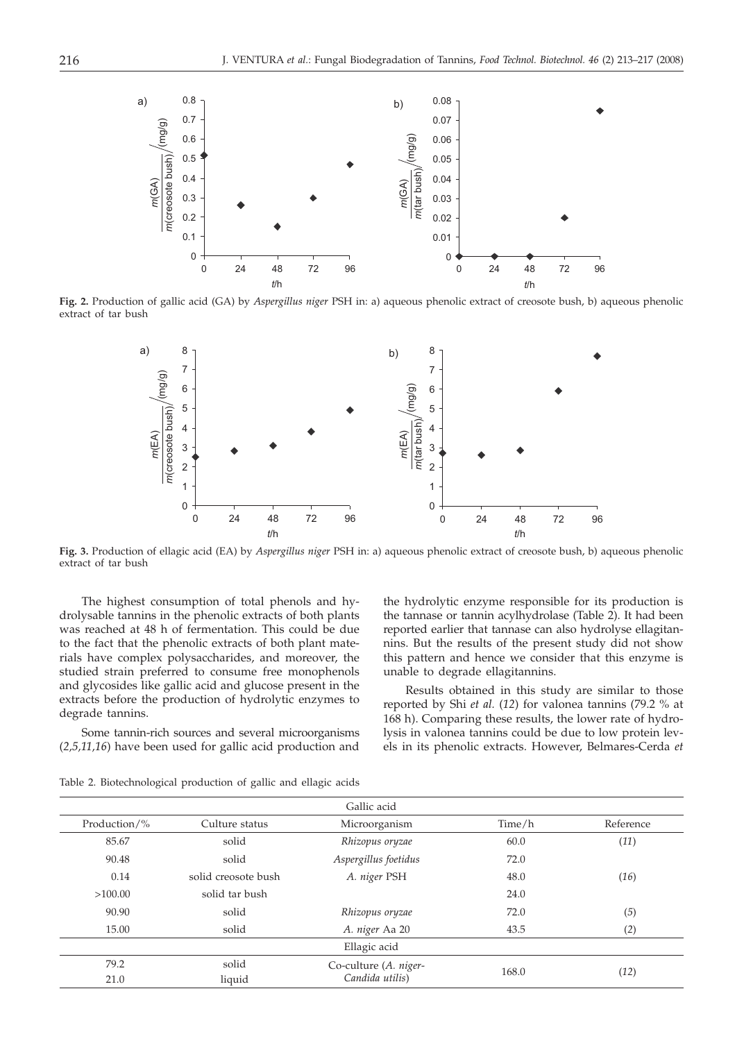

**Fig. 2.** Production of gallic acid (GA) by *Aspergillus niger* PSH in: a) aqueous phenolic extract of creosote bush, b) aqueous phenolic extract of tar bush



**Fig. 3.** Production of ellagic acid (EA) by *Aspergillus niger* PSH in: a) aqueous phenolic extract of creosote bush, b) aqueous phenolic extract of tar bush

The highest consumption of total phenols and hydrolysable tannins in the phenolic extracts of both plants was reached at 48 h of fermentation. This could be due to the fact that the phenolic extracts of both plant materials have complex polysaccharides, and moreover, the studied strain preferred to consume free monophenols and glycosides like gallic acid and glucose present in the extracts before the production of hydrolytic enzymes to degrade tannins.

Some tannin-rich sources and several microorganisms (*2,5,11,16*) have been used for gallic acid production and

the hydrolytic enzyme responsible for its production is the tannase or tannin acylhydrolase (Table 2). It had been reported earlier that tannase can also hydrolyse ellagitannins. But the results of the present study did not show this pattern and hence we consider that this enzyme is unable to degrade ellagitannins.

Results obtained in this study are similar to those reported by Shi *et al.* (*12*) for valonea tannins (79.2 % at 168 h). Comparing these results, the lower rate of hydrolysis in valonea tannins could be due to low protein levels in its phenolic extracts. However, Belmares-Cerda *et*

| Gallic acid  |                     |                                          |        |           |
|--------------|---------------------|------------------------------------------|--------|-----------|
| Production/% | Culture status      | Microorganism                            | Time/h | Reference |
| 85.67        | solid               | Rhizopus oryzae                          | 60.0   | (11)      |
| 90.48        | solid               | Aspergillus foetidus                     | 72.0   |           |
| 0.14         | solid creosote bush | A. niger PSH                             | 48.0   | (16)      |
| >100.00      | solid tar bush      |                                          | 24.0   |           |
| 90.90        | solid               | Rhizopus oryzae                          | 72.0   | (5)       |
| 15.00        | solid               | A. niger Aa 20                           | 43.5   | (2)       |
|              |                     | Ellagic acid                             |        |           |
| 79.2         | solid               | Co-culture (A. niger-<br>Candida utilis) | 168.0  | (12)      |
| 21.0         | liquid              |                                          |        |           |